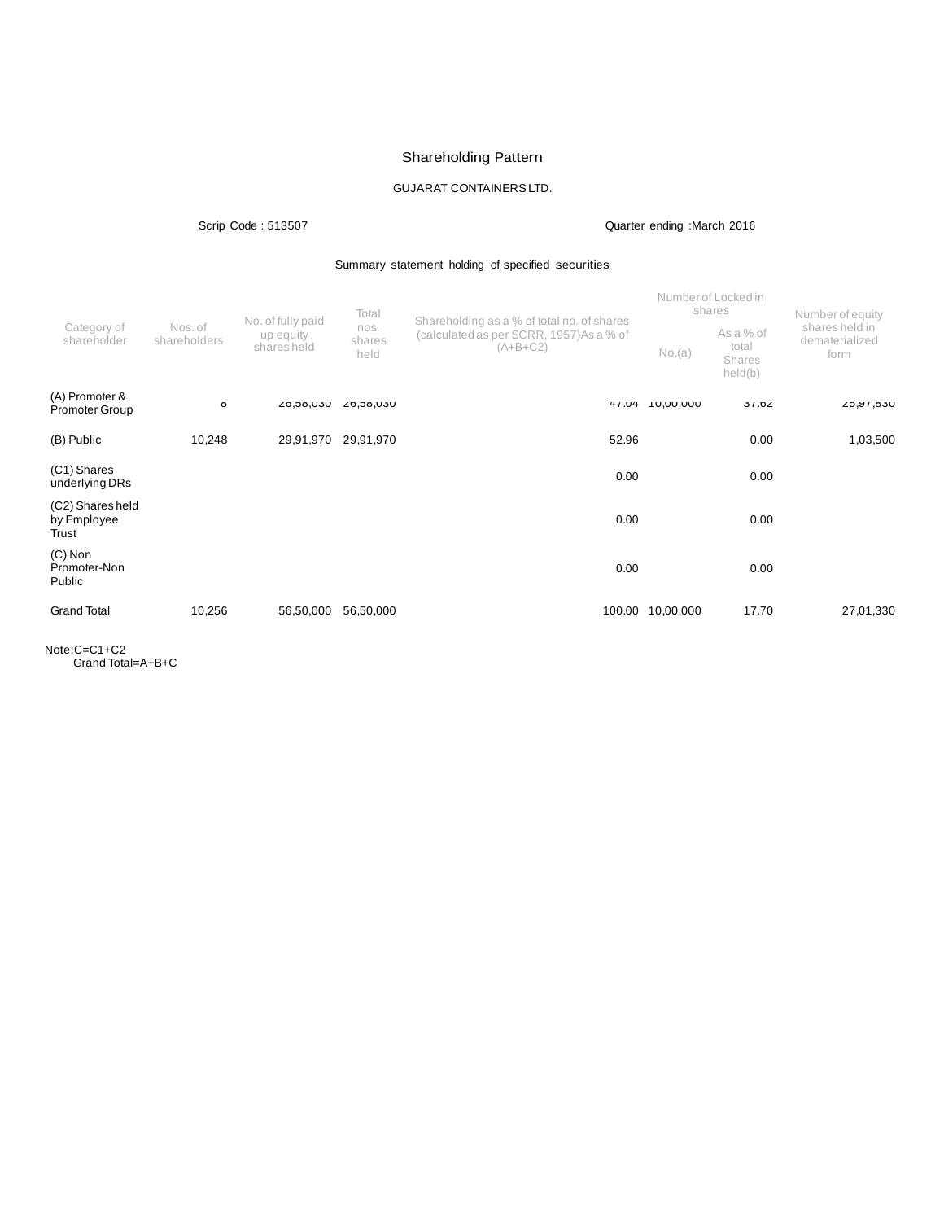# Shareholding Pattern

## GUJARAT CONTAINERSLTD.

### Scrip Code : 513507 Quarter ending :March 2016

### Summary statement holding of specified securities

|                                          | Nos. of<br>shareholders | No. of fully paid<br>up equity<br>shares held | Total<br>nos.<br>shares<br>held | Shareholding as a % of total no. of shares             |                  | Number of Locked in<br>shares           | Number of equity<br>shares held in<br>dematerialized<br>form |
|------------------------------------------|-------------------------|-----------------------------------------------|---------------------------------|--------------------------------------------------------|------------------|-----------------------------------------|--------------------------------------------------------------|
| Category of<br>shareholder               |                         |                                               |                                 | (calculated as per SCRR, 1957) As a % of<br>$(A+B+C2)$ | No.(a)           | As a % of<br>total<br>Shares<br>held(b) |                                                              |
| (A) Promoter &<br><b>Promoter Group</b>  | Ö                       | UCU, ÖC, 02                                   | UCU, ÖC, ÖZ                     | 41.04                                                  | <b>UUU,UU,UU</b> | 31.02                                   | L5, 16, 050                                                  |
| (B) Public                               | 10,248                  | 29,91,970                                     | 29,91,970                       | 52.96                                                  |                  | 0.00                                    | 1,03,500                                                     |
| (C1) Shares<br>underlying DRs            |                         |                                               |                                 | 0.00                                                   |                  | 0.00                                    |                                                              |
| (C2) Shares held<br>by Employee<br>Trust |                         |                                               |                                 | 0.00                                                   |                  | 0.00                                    |                                                              |
| $(C)$ Non<br>Promoter-Non<br>Public      |                         |                                               |                                 | 0.00                                                   |                  | 0.00                                    |                                                              |
| <b>Grand Total</b>                       | 10,256                  | 56,50,000                                     | 56,50,000                       | 100.00                                                 | 10,00,000        | 17.70                                   | 27,01,330                                                    |

Note:C=C1+C2 Grand Total=A+B+C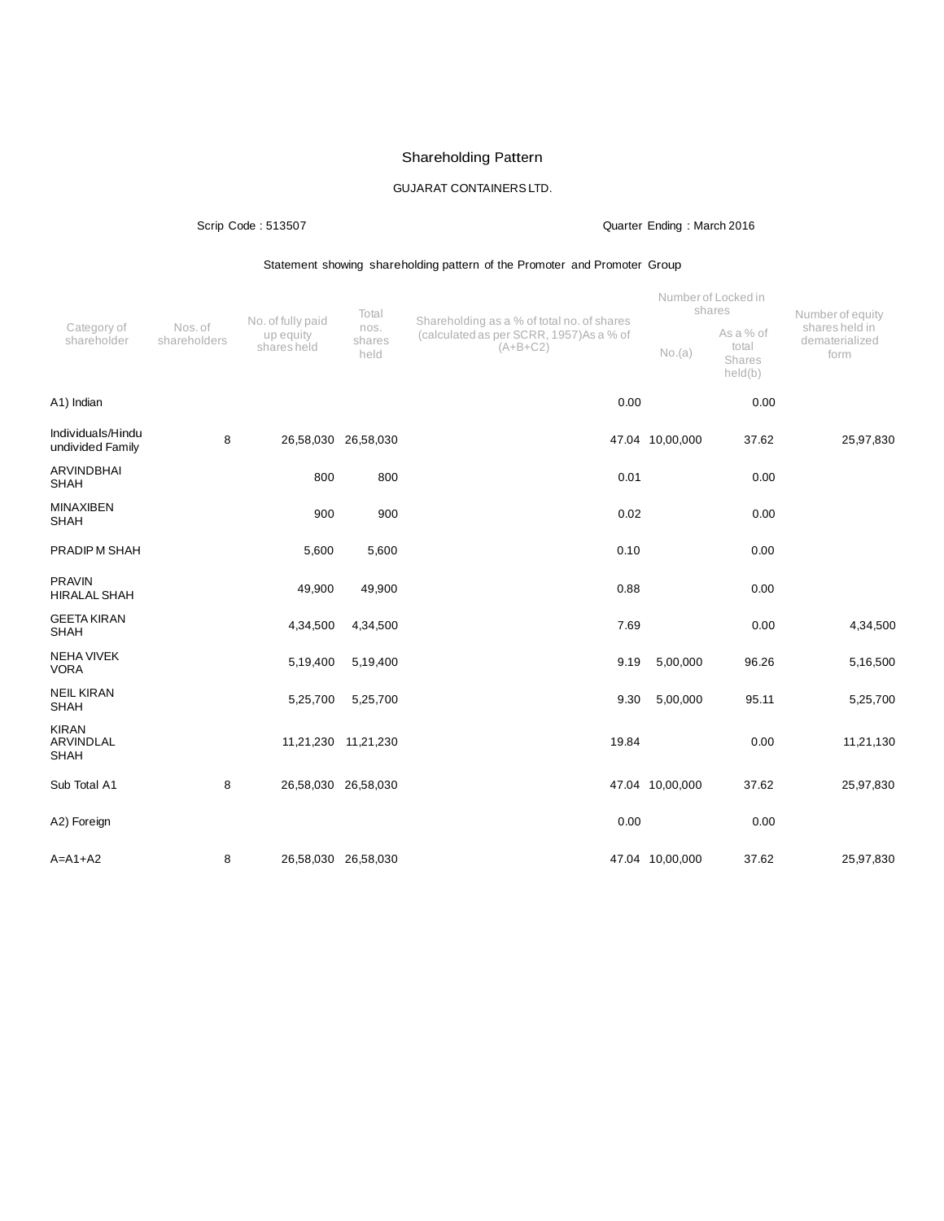# Shareholding Pattern

## GUJARAT CONTAINERSLTD.

### Scrip Code : 513507 Quarter Ending : March 2016

### Statement showing shareholding pattern of the Promoter and Promoter Group

|                                          | Nos. of<br>shareholders | No. of fully paid<br>up equity<br>shares held | Total                  | Shareholding as a % of total no. of shares             |                 | Number of Locked in<br>shares           | Number of equity                         |
|------------------------------------------|-------------------------|-----------------------------------------------|------------------------|--------------------------------------------------------|-----------------|-----------------------------------------|------------------------------------------|
| Category of<br>shareholder               |                         |                                               | nos.<br>shares<br>held | (calculated as per SCRR, 1957) As a % of<br>$(A+B+C2)$ | No.(a)          | As a % of<br>total<br>Shares<br>held(b) | shares held in<br>dematerialized<br>form |
| A1) Indian                               |                         |                                               |                        | 0.00                                                   |                 | 0.00                                    |                                          |
| Individuals/Hindu<br>undivided Family    | 8                       | 26,58,030 26,58,030                           |                        |                                                        | 47.04 10,00,000 | 37.62                                   | 25,97,830                                |
| <b>ARVINDBHAI</b><br><b>SHAH</b>         |                         | 800                                           | 800                    | 0.01                                                   |                 | 0.00                                    |                                          |
| <b>MINAXIBEN</b><br><b>SHAH</b>          |                         | 900                                           | 900                    | 0.02                                                   |                 | 0.00                                    |                                          |
| PRADIPM SHAH                             |                         | 5,600                                         | 5,600                  | 0.10                                                   |                 | 0.00                                    |                                          |
| <b>PRAVIN</b><br><b>HIRALAL SHAH</b>     |                         | 49,900                                        | 49,900                 | 0.88                                                   |                 | 0.00                                    |                                          |
| <b>GEETA KIRAN</b><br><b>SHAH</b>        |                         | 4,34,500                                      | 4,34,500               | 7.69                                                   |                 | 0.00                                    | 4,34,500                                 |
| <b>NEHA VIVEK</b><br><b>VORA</b>         |                         | 5,19,400                                      | 5,19,400               | 9.19                                                   | 5,00,000        | 96.26                                   | 5,16,500                                 |
| <b>NEIL KIRAN</b><br><b>SHAH</b>         |                         | 5,25,700                                      | 5,25,700               | 9.30                                                   | 5,00,000        | 95.11                                   | 5,25,700                                 |
| <b>KIRAN</b><br>ARVINDLAL<br><b>SHAH</b> |                         | 11,21,230 11,21,230                           |                        | 19.84                                                  |                 | 0.00                                    | 11,21,130                                |
| Sub Total A1                             | 8                       | 26,58,030 26,58,030                           |                        |                                                        | 47.04 10,00,000 | 37.62                                   | 25,97,830                                |
| A2) Foreign                              |                         |                                               |                        | 0.00                                                   |                 | 0.00                                    |                                          |
| $A=A1+A2$                                | 8                       | 26,58,030 26,58,030                           |                        |                                                        | 47.04 10,00,000 | 37.62                                   | 25,97,830                                |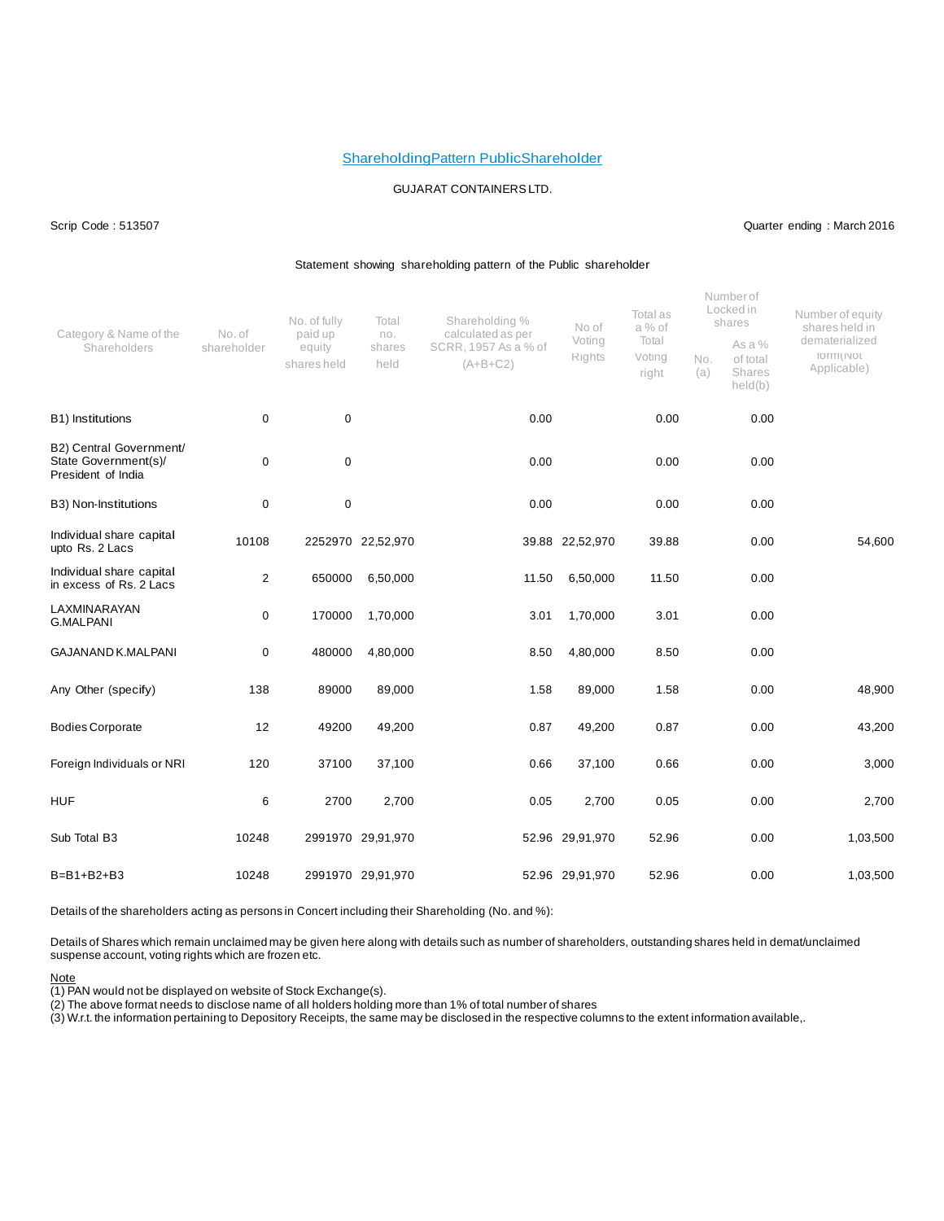#### ShareholdingPattern PublicShareholder

#### GUJARAT CONTAINERSLTD.

#### Scrip Code : 513507 Quarter ending : March 2016

#### Statement showing shareholding pattern of the Public shareholder

| Category & Name of the<br>Shareholders                                | No. of<br>shareholder | No. of fully<br>paid up<br>equity<br>shares held | Total<br>no.<br>shares<br>held | Shareholding %<br>calculated as per<br>SCRR, 1957 As a % of<br>$(A+B+C2)$ | No of<br>Voting<br>Rights | Total as<br>a % of<br>Total<br>Voting<br>right | No.<br>(a) | Numberof<br>Locked in<br>shares<br>As a %<br>of total<br>Shares<br>held(b) | Number of equity<br>shares held in<br>dematerialized<br>TO ITTI ( INOT<br>Applicable) |
|-----------------------------------------------------------------------|-----------------------|--------------------------------------------------|--------------------------------|---------------------------------------------------------------------------|---------------------------|------------------------------------------------|------------|----------------------------------------------------------------------------|---------------------------------------------------------------------------------------|
| B1) Institutions                                                      | $\mathbf 0$           | $\pmb{0}$                                        |                                | 0.00                                                                      |                           | 0.00                                           |            | 0.00                                                                       |                                                                                       |
| B2) Central Government/<br>State Government(s)/<br>President of India | 0                     | $\mathbf 0$                                      |                                | 0.00                                                                      |                           | 0.00                                           |            | 0.00                                                                       |                                                                                       |
| B3) Non-Institutions                                                  | 0                     | $\mathbf 0$                                      |                                | 0.00                                                                      |                           | 0.00                                           |            | 0.00                                                                       |                                                                                       |
| Individual share capital<br>upto Rs. 2 Lacs                           | 10108                 |                                                  | 2252970 22,52,970              |                                                                           | 39.88 22,52,970           | 39.88                                          |            | 0.00                                                                       | 54,600                                                                                |
| Individual share capital<br>in excess of Rs. 2 Lacs                   | $\overline{2}$        | 650000                                           | 6,50,000                       | 11.50                                                                     | 6,50,000                  | 11.50                                          |            | 0.00                                                                       |                                                                                       |
| LAXMINARAYAN<br><b>G.MALPANI</b>                                      | 0                     | 170000                                           | 1,70,000                       | 3.01                                                                      | 1,70,000                  | 3.01                                           |            | 0.00                                                                       |                                                                                       |
| <b>GAJANAND K.MALPANI</b>                                             | 0                     | 480000                                           | 4,80,000                       | 8.50                                                                      | 4,80,000                  | 8.50                                           |            | 0.00                                                                       |                                                                                       |
| Any Other (specify)                                                   | 138                   | 89000                                            | 89,000                         | 1.58                                                                      | 89,000                    | 1.58                                           |            | 0.00                                                                       | 48,900                                                                                |
| <b>Bodies Corporate</b>                                               | 12                    | 49200                                            | 49,200                         | 0.87                                                                      | 49,200                    | 0.87                                           |            | 0.00                                                                       | 43,200                                                                                |
| Foreign Individuals or NRI                                            | 120                   | 37100                                            | 37,100                         | 0.66                                                                      | 37,100                    | 0.66                                           |            | 0.00                                                                       | 3,000                                                                                 |
| <b>HUF</b>                                                            | 6                     | 2700                                             | 2,700                          | 0.05                                                                      | 2,700                     | 0.05                                           |            | 0.00                                                                       | 2,700                                                                                 |
| Sub Total B3                                                          | 10248                 |                                                  | 2991970 29,91,970              |                                                                           | 52.96 29,91,970           | 52.96                                          |            | 0.00                                                                       | 1,03,500                                                                              |
| $B=B1+B2+B3$                                                          | 10248                 |                                                  | 2991970 29,91,970              |                                                                           | 52.96 29,91,970           | 52.96                                          |            | 0.00                                                                       | 1,03,500                                                                              |

Details of the shareholders acting as persons in Concert including their Shareholding (No. and %):

Details of Shares which remain unclaimed may be given here along with details such as number of shareholders, outstanding shares held in demat/unclaimed suspense account, voting rights which are frozen etc.

#### Note

(1) PAN would not be displayed on website of Stock Exchange(s).

(2) The above format needs to disclose name of all holders holding more than 1% of total number of shares

 $\langle 3 \rangle$  W.r.t. the information pertaining to Depository Receipts, the same may be disclosed in the respective columns to the extent information available,.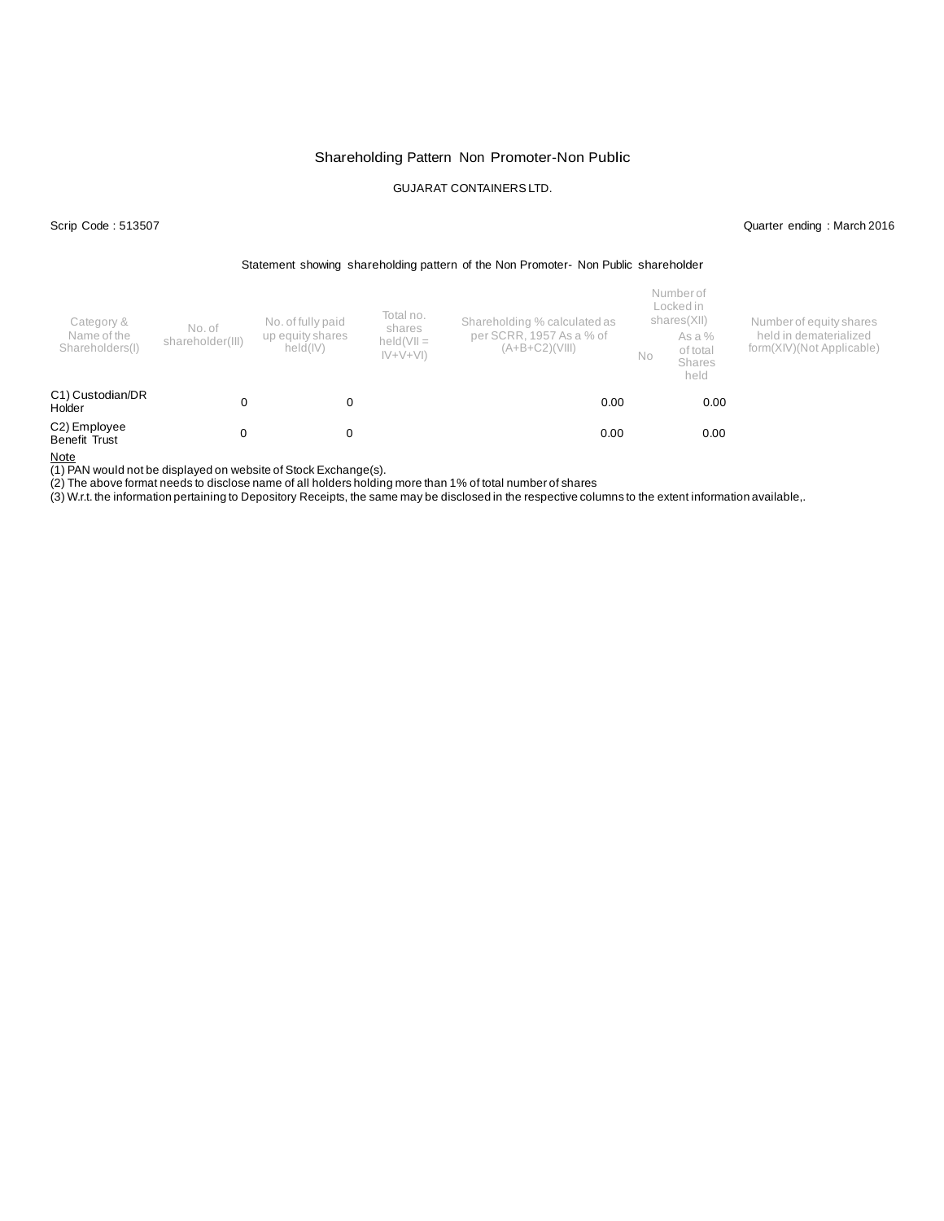### Shareholding Pattern Non Promoter-Non Public

### GUJARAT CONTAINERSLTD.

Scrip Code : 513507 Quarter ending : March 2016

#### Statement showing shareholding pattern of the Non Promoter- Non Public shareholder

| Category &<br>Name of the<br>Shareholders(I) | No. of<br>shareholder(III) | Total no.<br>No. of fully paid<br>shares<br>up equity shares<br>$held(VII =$<br>held(IV)<br>$ V+V+V $ |  | Shareholding % calculated as<br>per SCRR, 1957 As a % of<br>$(A+B+C2)(VIII)$ | No | Number of<br>Locked in<br>shares(XII)<br>As a %<br>of total<br><b>Shares</b><br>held | Number of equity shares<br>held in dematerialized<br>form(XIV)(Not Applicable) |
|----------------------------------------------|----------------------------|-------------------------------------------------------------------------------------------------------|--|------------------------------------------------------------------------------|----|--------------------------------------------------------------------------------------|--------------------------------------------------------------------------------|
| C1) Custodian/DR<br>Holder                   |                            |                                                                                                       |  | 0.00                                                                         |    | 0.00                                                                                 |                                                                                |
| C2) Employee<br>Benefit Trust                | 0                          | 0                                                                                                     |  | 0.00                                                                         |    | 0.00                                                                                 |                                                                                |

Note

(1) PAN would not be displayed on website of Stock Exchange(s).

(2) The above format needs to disclose name of all holders holding more than 1% of total number of shares

(3) W.r.t. the information pertaining to Depository Receipts, the same may be disclosed in the respective columns to the extent information available,.